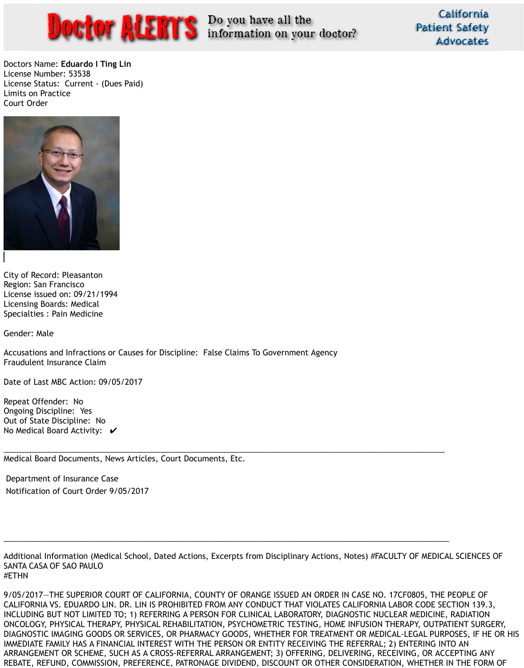

California **Patient Safety Advocates** 

Doctors Name: **Eduardo I Ting Lin** License Number: 53538 License Status: Current - (Dues Paid) Limits on Practice Court Order



City of Record: Pleasanton Region: San Francisco License issued on: 09/21/1994 Licensing Boards: Medical Specialties : Pain Medicine

Out of State Discipline: No No Medical Board Activity:  $\boldsymbol{v}$ 

Gender: Male

Accusations and Infractions or Causes for Discipline: False Claims To Government Agency Fraudulent Insurance Claim

Date of Last MBC Action: 09/05/2017

Repeat Offender: No Ongoing Discipline: Yes

\_\_\_\_\_\_\_\_\_\_\_\_\_\_\_\_\_\_\_\_\_\_\_\_\_\_\_\_\_\_\_\_\_\_\_\_\_\_\_\_\_\_\_\_\_\_\_\_\_\_\_\_\_\_\_\_\_\_\_\_\_\_\_\_\_\_\_\_\_\_\_\_\_\_\_\_\_\_\_\_\_\_\_\_\_\_\_\_\_\_\_\_\_\_\_\_\_\_\_\_\_

Medical Board Documents, News Articles, Court Documents, Etc.

Department of Insurance Case Notification of Court Order 9/05/2017

\_\_\_\_\_\_\_\_\_\_\_\_\_\_\_\_\_\_\_\_\_\_\_\_\_\_\_\_\_\_\_\_\_\_\_\_\_\_\_\_\_\_\_\_\_\_\_\_\_\_\_\_\_\_\_\_\_\_\_\_\_\_\_\_\_\_\_\_\_\_\_\_\_\_\_\_\_\_\_\_\_\_\_\_\_\_\_\_\_\_\_\_\_\_\_\_\_\_\_\_\_\_

Additional Information (Medical School, Dated Actions, Excerpts from Disciplinary Actions, Notes) #FACULTY OF MEDICAL SCIENCES OF SANTA CASA OF SAO PAULO #ETHN

9/05/2017—THE SUPERIOR COURT OF CALIFORNIA, COUNTY OF ORANGE ISSUED AN ORDER IN CASE NO. 17CF0805, THE PEOPLE OF CALIFORNIA VS. EDUARDO LIN. DR. LIN IS PROHIBITED FROM ANY CONDUCT THAT VIOLATES CALIFORNIA LABOR CODE SECTION 139.3, INCLUDING BUT NOT LIMITED TO; 1) REFERRING A PERSON FOR CLINICAL LABORATORY, DIAGNOSTIC NUCLEAR MEDICINE, RADIATION ONCOLOGY, PHYSICAL THERAPY, PHYSICAL REHABILITATION, PSYCHOMETRIC TESTING, HOME INFUSION THERAPY, OUTPATIENT SURGERY, DIAGNOSTIC IMAGING GOODS OR SERVICES, OR PHARMACY GOODS, WHETHER FOR TREATMENT OR MEDICAL-LEGAL PURPOSES, IF HE OR HIS IMMEDIATE FAMILY HAS A FINANCIAL INTEREST WITH THE PERSON OR ENTITY RECEIVING THE REFERRAL; 2) ENTERING INTO AN ARRANGEMENT OR SCHEME, SUCH AS A CROSS-REFERRAL ARRANGEMENT; 3) OFFERING, DELIVERING, RECEIVING, OR ACCEPTING ANY REBATE, REFUND, COMMISSION, PREFERENCE, PATRONAGE DIVIDEND, DISCOUNT OR OTHER CONSIDERATION, WHETHER IN THE FORM OF